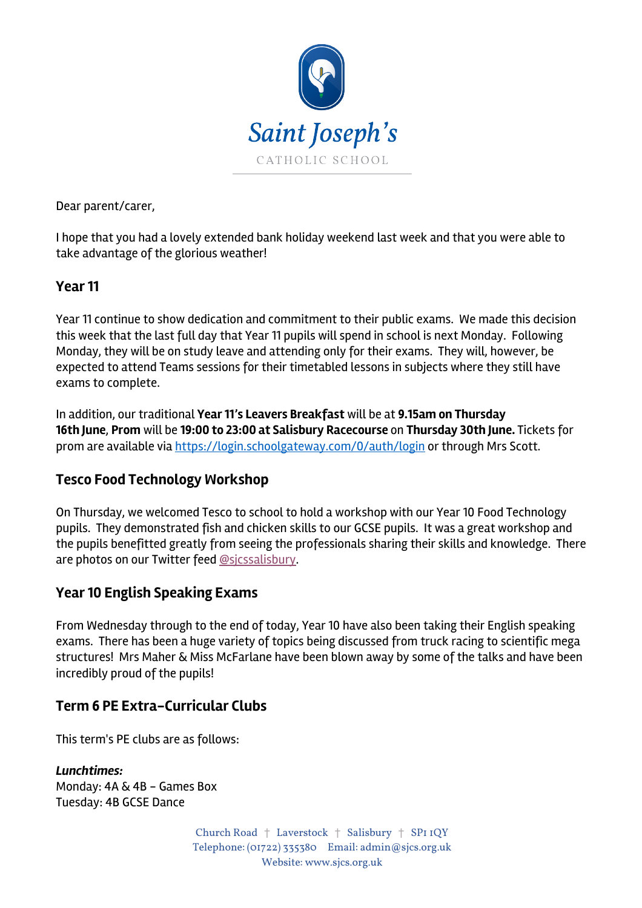

Dear parent/carer,

I hope that you had a lovely extended bank holiday weekend last week and that you were able to take advantage of the glorious weather!

## **Year 11**

Year 11 continue to show dedication and commitment to their public exams. We made this decision this week that the last full day that Year 11 pupils will spend in school is next Monday. Following Monday, they will be on study leave and attending only for their exams. They will, however, be expected to attend Teams sessions for their timetabled lessons in subjects where they still have exams to complete.

In addition, our traditional **Year 11's Leavers Breakfast** will be at **9.15am on Thursday 16th June**, **Prom** will be **19:00 to 23:00 at Salisbury Racecourse** on **Thursday 30th June.** Tickets for prom are available via https://login.schoolgateway.com/0/auth/login or through Mrs Scott.

# **Tesco Food Technology Workshop**

On Thursday, we welcomed Tesco to school to hold a workshop with our Year 10 Food Technology pupils. They demonstrated fish and chicken skills to our GCSE pupils. It was a great workshop and the pupils benefitted greatly from seeing the professionals sharing their skills and knowledge. There are photos on our Twitter feed @sjcssalisbury.

# **Year 10 English Speaking Exams**

From Wednesday through to the end of today, Year 10 have also been taking their English speaking exams. There has been a huge variety of topics being discussed from truck racing to scientific mega structures! Mrs Maher & Miss McFarlane have been blown away by some of the talks and have been incredibly proud of the pupils!

### **Term 6 PE Extra-Curricular Clubs**

This term's PE clubs are as follows:

*Lunchtimes:* Monday: 4A & 4B - Games Box Tuesday: 4B GCSE Dance

> Church Road † Laverstock † Salisbury † SP1 1QY Telephone: (01722) 335380 Email: admin@sjcs.org.uk Website: www.sjcs.org.uk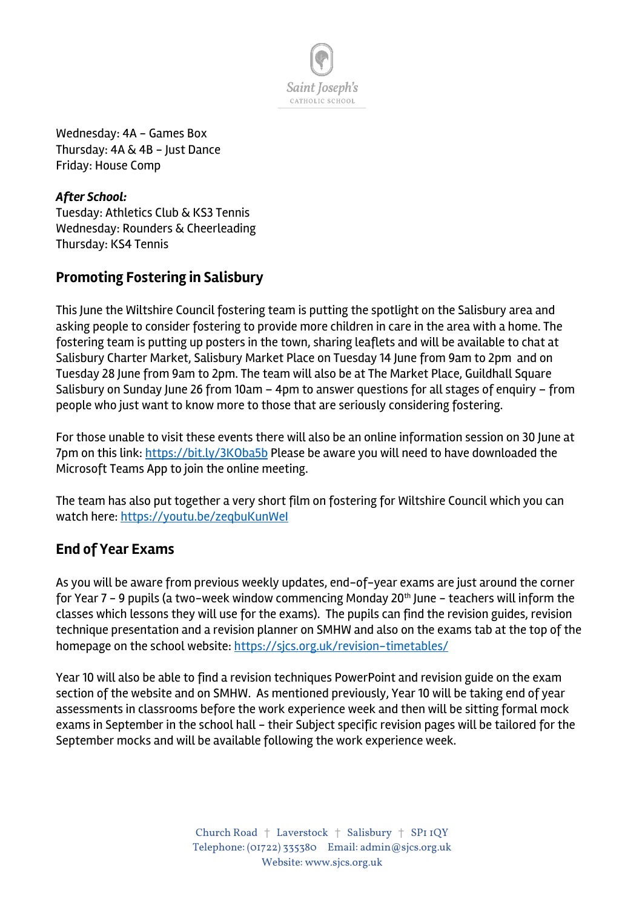

Wednesday: 4A - Games Box Thursday: 4A & 4B - Just Dance Friday: House Comp

*After School:* Tuesday: Athletics Club & KS3 Tennis Wednesday: Rounders & Cheerleading Thursday: KS4 Tennis

# **Promoting Fostering in Salisbury**

This June the Wiltshire Council fostering team is putting the spotlight on the Salisbury area and asking people to consider fostering to provide more children in care in the area with a home. The fostering team is putting up posters in the town, sharing leaflets and will be available to chat at Salisbury Charter Market, Salisbury Market Place on Tuesday 14 June from 9am to 2pm and on Tuesday 28 June from 9am to 2pm. The team will also be at The Market Place, Guildhall Square Salisbury on Sunday June 26 from 10am – 4pm to answer questions for all stages of enquiry – from people who just want to know more to those that are seriously considering fostering.

For those unable to visit these events there will also be an online information session on 30 June at 7pm on this link: https://bit.ly/3KOba5b Please be aware you will need to have downloaded the Microsoft Teams App to join the online meeting.

The team has also put together a very short film on fostering for Wiltshire Council which you can watch here: https://youtu.be/zeqbuKunWeI

# **End of Year Exams**

As you will be aware from previous weekly updates, end-of-year exams are just around the corner for Year 7 - 9 pupils (a two-week window commencing Monday 20<sup>th</sup> June - teachers will inform the classes which lessons they will use for the exams). The pupils can find the revision guides, revision technique presentation and a revision planner on SMHW and also on the exams tab at the top of the homepage on the school website: https://sjcs.org.uk/revision-timetables/

Year 10 will also be able to find a revision techniques PowerPoint and revision guide on the exam section of the website and on SMHW. As mentioned previously, Year 10 will be taking end of year assessments in classrooms before the work experience week and then will be sitting formal mock exams in September in the school hall - their Subject specific revision pages will be tailored for the September mocks and will be available following the work experience week.